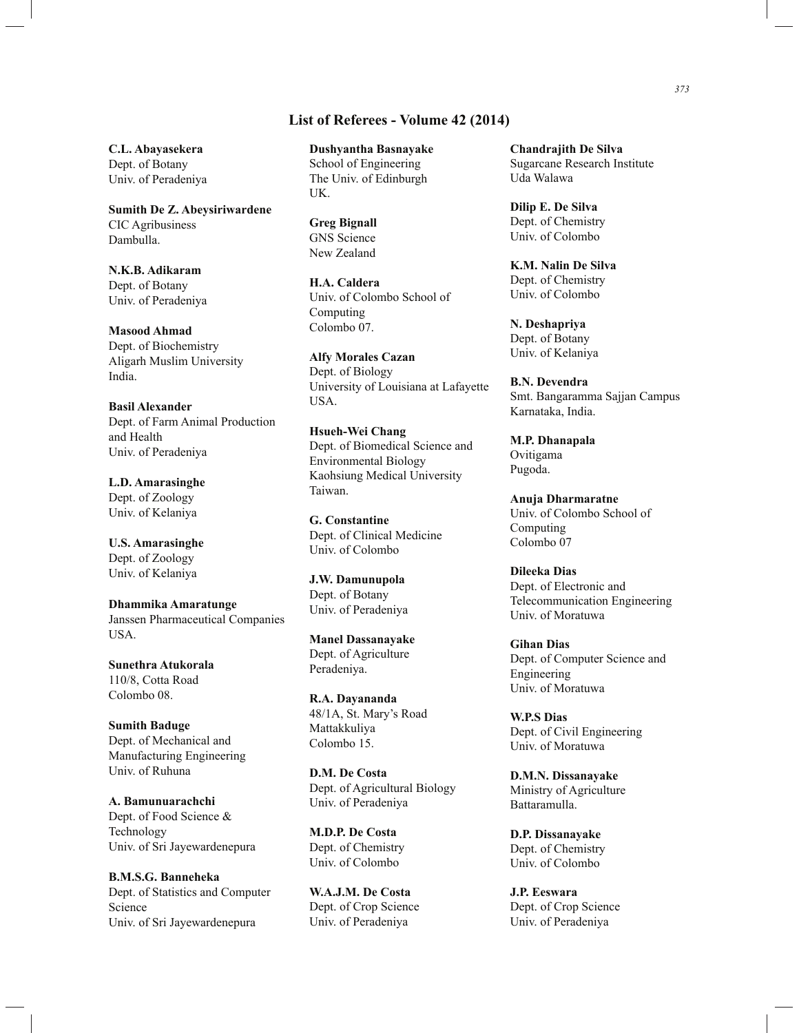## **List of Referees - Volume 42 (2014)**

**C.L. Abayasekera** Dept. of Botany Univ. of Peradeniya

**Sumith De Z. Abeysiriwardene** CIC Agribusiness Dambulla.

**N.K.B. Adikaram** Dept. of Botany Univ. of Peradeniya

**Masood Ahmad** Dept. of Biochemistry Aligarh Muslim University India.

**Basil Alexander** Dept. of Farm Animal Production and Health Univ. of Peradeniya

**L.D. Amarasinghe** Dept. of Zoology Univ. of Kelaniya

**U.S. Amarasinghe** Dept. of Zoology Univ. of Kelaniya

**Dhammika Amaratunge** Janssen Pharmaceutical Companies USA.

**Sunethra Atukorala**  110/8, Cotta Road Colombo 08.

**Sumith Baduge** Dept. of Mechanical and Manufacturing Engineering Univ. of Ruhuna

**A. Bamunuarachchi** Dept. of Food Science & Technology Univ. of Sri Jayewardenepura

**B.M.S.G. Banneheka** Dept. of Statistics and Computer Science Univ. of Sri Jayewardenepura

**Dushyantha Basnayake** School of Engineering The Univ. of Edinburgh UK.

**Greg Bignall** GNS Science New Zealand

**H.A. Caldera** Univ. of Colombo School of Computing Colombo 07.

**Alfy Morales Cazan** Dept. of Biology University of Louisiana at Lafayette USA.

**Hsueh-Wei Chang** Dept. of Biomedical Science and Environmental Biology Kaohsiung Medical University Taiwan.

**G. Constantine** Dept. of Clinical Medicine Univ. of Colombo

**J.W. Damunupola** Dept. of Botany Univ. of Peradeniya

**Manel Dassanayake** Dept. of Agriculture Peradeniya.

**R.A. Dayananda** 48/1A, St. Mary's Road Mattakkuliya Colombo 15.

**D.M. De Costa** Dept. of Agricultural Biology Univ. of Peradeniya

**M.D.P. De Costa** Dept. of Chemistry Univ. of Colombo

**W.A.J.M. De Costa** Dept. of Crop Science Univ. of Peradeniya

**Chandrajith De Silva** Sugarcane Research Institute Uda Walawa

**Dilip E. De Silva** Dept. of Chemistry Univ. of Colombo

**K.M. Nalin De Silva** Dept. of Chemistry Univ. of Colombo

**N. Deshapriya** Dept. of Botany Univ. of Kelaniya

**B.N. Devendra** Smt. Bangaramma Sajjan Campus Karnataka, India.

**M.P. Dhanapala** Ovitigama Pugoda.

**Anuja Dharmaratne**  Univ. of Colombo School of Computing Colombo 07

**Dileeka Dias** Dept. of Electronic and Telecommunication Engineering Univ. of Moratuwa

**Gihan Dias** Dept. of Computer Science and Engineering Univ. of Moratuwa

**W.P.S Dias** Dept. of Civil Engineering Univ. of Moratuwa

**D.M.N. Dissanayake** Ministry of Agriculture Battaramulla.

**D.P. Dissanayake** Dept. of Chemistry Univ. of Colombo

**J.P. Eeswara** Dept. of Crop Science Univ. of Peradeniya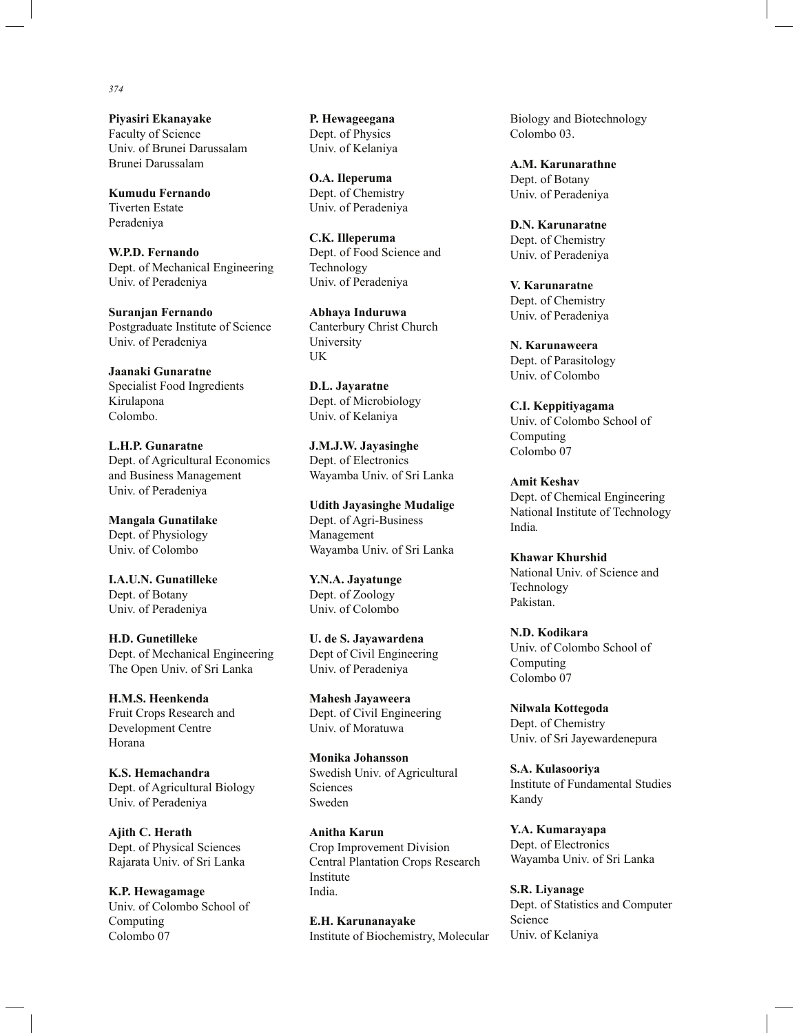**Piyasiri Ekanayake** Faculty of Science Univ. of Brunei Darussalam Brunei Darussalam

**Kumudu Fernando** Tiverten Estate Peradeniya

**W.P.D. Fernando** Dept. of Mechanical Engineering Univ. of Peradeniya

**Suranjan Fernando** Postgraduate Institute of Science Univ. of Peradeniya

**Jaanaki Gunaratne**  Specialist Food Ingredients Kirulapona Colombo.

**L.H.P. Gunaratne** Dept. of Agricultural Economics and Business Management Univ. of Peradeniya

**Mangala Gunatilake** Dept. of Physiology Univ. of Colombo

**I.A.U.N. Gunatilleke** Dept. of Botany Univ. of Peradeniya

**H.D. Gunetilleke** Dept. of Mechanical Engineering The Open Univ. of Sri Lanka

**H.M.S. Heenkenda** Fruit Crops Research and Development Centre Horana

**K.S. Hemachandra** Dept. of Agricultural Biology Univ. of Peradeniya

**Ajith C. Herath** Dept. of Physical Sciences Rajarata Univ. of Sri Lanka

**K.P. Hewagamage** Univ. of Colombo School of Computing Colombo 07

**P. Hewageegana** Dept. of Physics Univ. of Kelaniya

**O.A. Ileperuma** Dept. of Chemistry Univ. of Peradeniya

**C.K. Illeperuma** Dept. of Food Science and Technology Univ. of Peradeniya

**Abhaya Induruwa** Canterbury Christ Church University UK

**D.L. Jayaratne** Dept. of Microbiology Univ. of Kelaniya

**J.M.J.W. Jayasinghe** Dept. of Electronics Wayamba Univ. of Sri Lanka

**Udith Jayasinghe Mudalige** Dept. of Agri-Business Management Wayamba Univ. of Sri Lanka

**Y.N.A. Jayatunge** Dept. of Zoology Univ. of Colombo

**U. de S. Jayawardena** Dept of Civil Engineering Univ. of Peradeniya

**Mahesh Jayaweera** Dept. of Civil Engineering Univ. of Moratuwa

**Monika Johansson** Swedish Univ. of Agricultural Sciences Sweden

**Anitha Karun** Crop Improvement Division Central Plantation Crops Research Institute India.

**E.H. Karunanayake** Institute of Biochemistry, Molecular Biology and Biotechnology Colombo 03.

**A.M. Karunarathne** Dept. of Botany Univ. of Peradeniya

**D.N. Karunaratne** Dept. of Chemistry Univ. of Peradeniya

**V. Karunaratne** Dept. of Chemistry Univ. of Peradeniya

**N. Karunaweera** Dept. of Parasitology Univ. of Colombo

**C.I. Keppitiyagama** Univ. of Colombo School of Computing Colombo 07

**Amit Keshav** Dept. of Chemical Engineering National Institute of Technology India*.*

**Khawar Khurshid** National Univ. of Science and Technology Pakistan.

**N.D. Kodikara** Univ. of Colombo School of Computing Colombo 07

**Nilwala Kottegoda** Dept. of Chemistry Univ. of Sri Jayewardenepura

**S.A. Kulasooriya** Institute of Fundamental Studies Kandy

**Y.A. Kumarayapa** Dept. of Electronics Wayamba Univ. of Sri Lanka

**S.R. Liyanage** Dept. of Statistics and Computer Science Univ. of Kelaniya

## *374*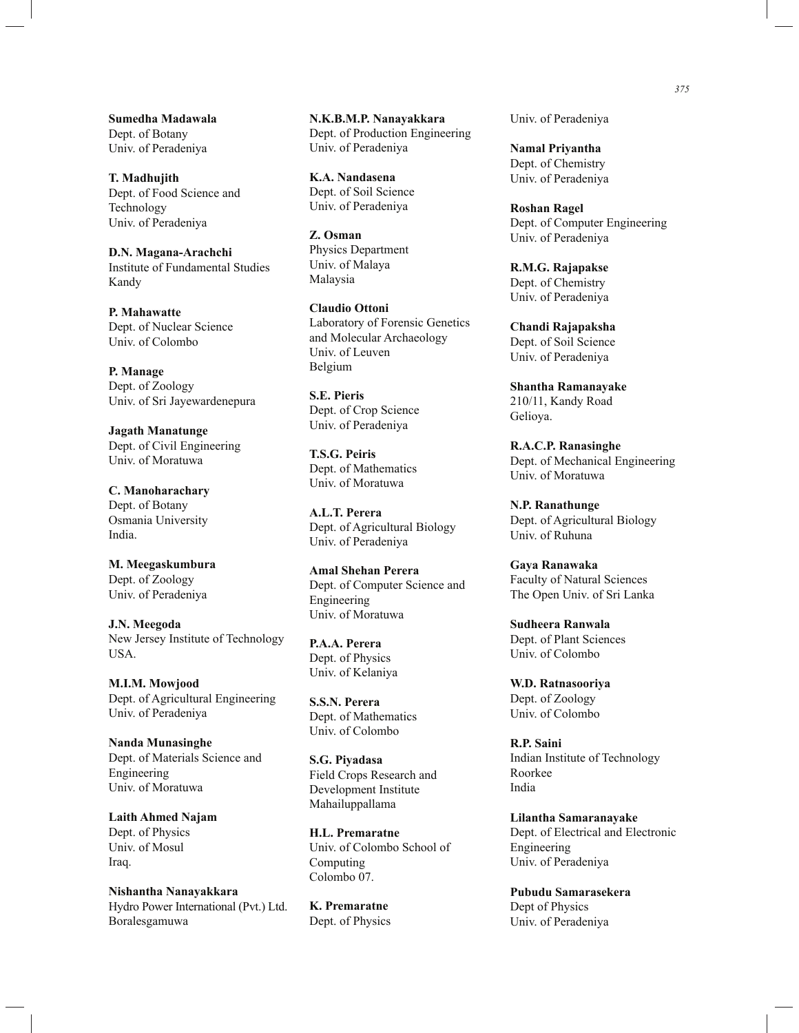**Sumedha Madawala** Dept. of Botany Univ. of Peradeniya

**T. Madhujith** Dept. of Food Science and Technology Univ. of Peradeniya

**D.N. Magana-Arachchi** Institute of Fundamental Studies Kandy

**P. Mahawatte** Dept. of Nuclear Science Univ. of Colombo

**P. Manage** Dept. of Zoology Univ. of Sri Jayewardenepura

**Jagath Manatunge** Dept. of Civil Engineering Univ. of Moratuwa

**C. Manoharachary** Dept. of Botany Osmania University India.

**M. Meegaskumbura** Dept. of Zoology Univ. of Peradeniya

**J.N. Meegoda** New Jersey Institute of Technology USA.

**M.I.M. Mowjood** Dept. of Agricultural Engineering Univ. of Peradeniya

**Nanda Munasinghe**  Dept. of Materials Science and Engineering Univ. of Moratuwa

**Laith Ahmed Najam** Dept. of Physics Univ. of Mosul Iraq.

**Nishantha Nanayakkara** Hydro Power International (Pvt.) Ltd. Boralesgamuwa

**N.K.B.M.P. Nanayakkara** Dept. of Production Engineering Univ. of Peradeniya

**K.A. Nandasena** Dept. of Soil Science Univ. of Peradeniya

**Z. Osman** Physics Department Univ. of Malaya Malaysia

**Claudio Ottoni**  Laboratory of Forensic Genetics and Molecular Archaeology Univ. of Leuven Belgium

**S.E. Pieris** Dept. of Crop Science Univ. of Peradeniya

**T.S.G. Peiris** Dept. of Mathematics Univ. of Moratuwa

**A.L.T. Perera** Dept. of Agricultural Biology Univ. of Peradeniya

**Amal Shehan Perera** Dept. of Computer Science and Engineering Univ. of Moratuwa

**P.A.A. Perera** Dept. of Physics Univ. of Kelaniya

**S.S.N. Perera** Dept. of Mathematics Univ. of Colombo

**S.G. Piyadasa** Field Crops Research and Development Institute Mahailuppallama

**H.L. Premaratne** Univ. of Colombo School of Computing Colombo 07.

**K. Premaratne**  Dept. of Physics Univ. of Peradeniya

**Namal Priyantha** Dept. of Chemistry Univ. of Peradeniya

**Roshan Ragel** Dept. of Computer Engineering Univ. of Peradeniya

**R.M.G. Rajapakse** Dept. of Chemistry Univ. of Peradeniya

**Chandi Rajapaksha** Dept. of Soil Science Univ. of Peradeniya

**Shantha Ramanayake** 210/11, Kandy Road Gelioya.

**R.A.C.P. Ranasinghe** Dept. of Mechanical Engineering Univ. of Moratuwa

**N.P. Ranathunge** Dept. of Agricultural Biology Univ. of Ruhuna

**Gaya Ranawaka** Faculty of Natural Sciences The Open Univ. of Sri Lanka

**Sudheera Ranwala** Dept. of Plant Sciences Univ. of Colombo

**W.D. Ratnasooriya** Dept. of Zoology Univ. of Colombo

**R.P. Saini** Indian Institute of Technology Roorkee India

**Lilantha Samaranayake** Dept. of Electrical and Electronic Engineering Univ. of Peradeniya

**Pubudu Samarasekera** Dept of Physics Univ. of Peradeniya